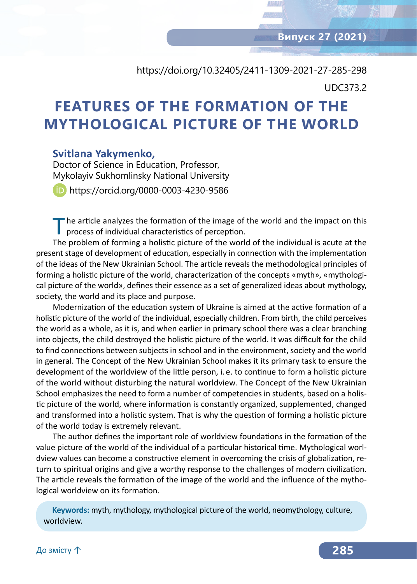# https://doi.org/10.32405/2411-1309-2021-27-285-298 UDC373.2

# **FEATURES OF THE FORMATION OF THE MYTHOLOGICAL PICTURE OF THE WORLD**

#### **Svitlana Yakymenko,**

Doctor of Science in Education, Professor, Mykolayiv Sukhomlinsky National University

https://orcid.org/0000-0003-4230-9586

"he article analyzes the formation of the image of the world and the impact on this process of individual characteristics of perception.

The problem of forming a holistic picture of the world of the individual is acute at the present stage of development of education, especially in connection with the implementation of the ideas of the New Ukrainian School. The article reveals the methodological principles of forming a holistic picture of the world, characterization of the concepts «myth», «mythological picture of the world», defines their essence as a set of generalized ideas about mythology, society, the world and its place and purpose.

Modernization of the education system of Ukraine is aimed at the active formation of a holistic picture of the world of the individual, especially children. From birth, the child perceives the world as a whole, as it is, and when earlier in primary school there was a clear branching into objects, the child destroyed the holistic picture of the world. It was difficult for the child to find connections between subjects in school and in the environment, society and the world in general. The Concept of the New Ukrainian School makes it its primary task to ensure the development of the worldview of the little person, i. e. to continue to form a holistic picture of the world without disturbing the natural worldview. The Concept of the New Ukrainian School emphasizes the need to form a number of competencies in students, based on a holistic picture of the world, where information is constantly organized, supplemented, changed and transformed into a holistic system. That is why the question of forming a holistic picture of the world today is extremely relevant.

The author defines the important role of worldview foundations in the formation of the value picture of the world of the individual of a particular historical time. Mythological worldview values can become a constructive element in overcoming the crisis of globalization, return to spiritual origins and give a worthy response to the challenges of modern civilization. The article reveals the formation of the image of the world and the influence of the mythological worldview on its formation.

**Keywords:** myth, mythology, mythological picture of the world, neomythology, culture, worldview.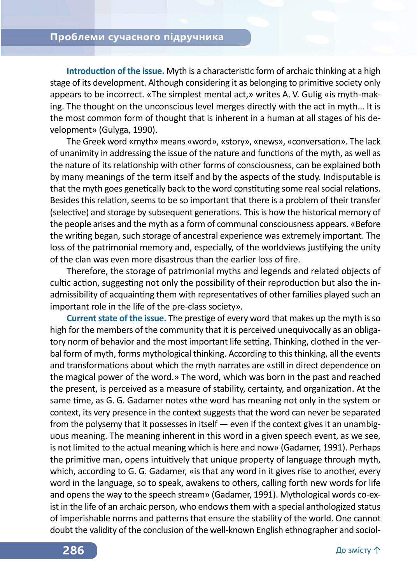**Introduction of the issue.** Myth is a characteristic form of archaic thinking at a high stage of its development. Although considering it as belonging to primitive society only appears to be incorrect. «The simplest mental act,» writes A. V. Gulig «is myth-making. The thought on the unconscious level merges directly with the act in myth… It is the most common form of thought that is inherent in a human at all stages of his development» (Gulyga, 1990).

The Greek word «myth» means «word», «story», «news», «conversation». The lack of unanimity in addressing the issue of the nature and functions of the myth, as well as the nature of its relationship with other forms of consciousness, can be explained both by many meanings of the term itself and by the aspects of the study. Indisputable is that the myth goes genetically back to the word constituting some real social relations. Besides this relation, seems to be so important that there is a problem of their transfer (selective) and storage by subsequent generations. This is how the historical memory of the people arises and the myth as a form of communal consciousness appears. «Before the writing began, such storage of ancestral experience was extremely important. The loss of the patrimonial memory and, especially, of the worldviews justifying the unity of the clan was even more disastrous than the earlier loss of fire.

Therefore, the storage of patrimonial myths and legends and related objects of cultic action, suggesting not only the possibility of their reproduction but also the inadmissibility of acquainting them with representatives of other families played such an important role in the life of the pre-class society».

**Current state of the issue.** The prestige of every word that makes up the myth is so high for the members of the community that it is perceived unequivocally as an obligatory norm of behavior and the most important life setting. Thinking, clothed in the verbal form of myth, forms mythological thinking. According to this thinking, all the events and transformations about which the myth narrates are «still in direct dependence on the magical power of the word.» The word, which was born in the past and reached the present, is perceived as a measure of stability, certainty, and organization. At the same time, as G. G. Gadamer notes «the word has meaning not only in the system or context, its very presence in the context suggests that the word can never be separated from the polysemy that it possesses in itself  $-$  even if the context gives it an unambiguous meaning. The meaning inherent in this word in a given speech event, as we see, is not limited to the actual meaning which is here and now» (Gadamer, 1991). Perhaps the primitive man, opens intuitively that unique property of language through myth, which, according to G. G. Gadamer, «is that any word in it gives rise to another, every word in the language, so to speak, awakens to others, calling forth new words for life and opens the way to the speech stream» (Gadamer, 1991). Mythological words co-exist in the life of an archaic person, who endows them with a special anthologized status of imperishable norms and patterns that ensure the stability of the world. One cannot doubt the validity of the conclusion of the well-known English ethnographer and sociol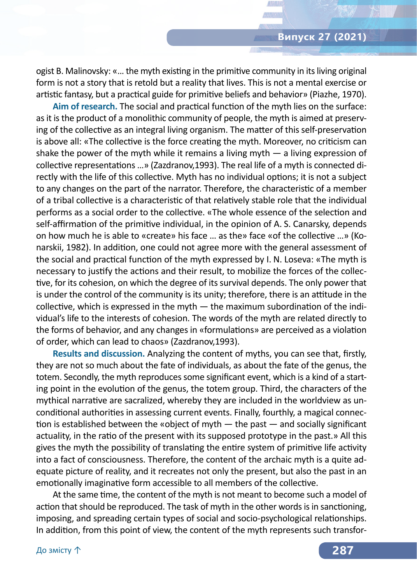ogist B. Malinovsky: «… the myth existing in the primitive community in its living original form is not a story that is retold but a reality that lives. This is not a mental exercise or artistic fantasy, but a practical guide for primitive beliefs and behavior» (Piazhe, 1970).

**Aim of research.** The social and practical function of the myth lies on the surface: as it is the product of a monolithic community of people, the myth is aimed at preserving of the collective as an integral living organism. The matter of this self-preservation is above all: «The collective is the force creating the myth. Moreover, no criticism can shake the power of the myth while it remains a living myth  $-$  a living expression of collective representations …» (Zazdranov,1993). The real life of a myth is connected directly with the life of this collective. Myth has no individual options; it is not a subject to any changes on the part of the narrator. Therefore, the characteristic of a member of a tribal collective is a characteristic of that relatively stable role that the individual performs as a social order to the collective. «The whole essence of the selection and self-affirmation of the primitive individual, in the opinion of A. S. Canarsky, depends on how much he is able to «create» his face … as the» face «of the collective …» (Konarskii, 1982). In addition, one could not agree more with the general assessment of the social and practical function of the myth expressed by I. N. Loseva: «The myth is necessary to justify the actions and their result, to mobilize the forces of the collective, for its cohesion, on which the degree of its survival depends. The only power that is under the control of the community is its unity; therefore, there is an attitude in the collective, which is expressed in the myth — the maximum subordination of the individual's life to the interests of cohesion. The words of the myth are related directly to the forms of behavior, and any changes in «formulations» are perceived as a violation of order, which can lead to chaos» (Zazdranov,1993).

**Results and discussion.** Analyzing the content of myths, you can see that, firstly, they are not so much about the fate of individuals, as about the fate of the genus, the totem. Secondly, the myth reproduces some significant event, which is a kind of a starting point in the evolution of the genus, the totem group. Third, the characters of the mythical narrative are sacralized, whereby they are included in the worldview as unconditional authorities in assessing current events. Finally, fourthly, a magical connection is established between the «object of myth — the past — and socially significant actuality, in the ratio of the present with its supposed prototype in the past.» All this gives the myth the possibility of translating the entire system of primitive life activity into a fact of consciousness. Therefore, the content of the archaic myth is a quite adequate picture of reality, and it recreates not only the present, but also the past in an emotionally imaginative form accessible to all members of the collective.

At the same time, the content of the myth is not meant to become such a model of action that should be reproduced. The task of myth in the other words is in sanctioning, imposing, and spreading certain types of social and socio-psychological relationships. In addition, from this point of view, the content of the myth represents such transfor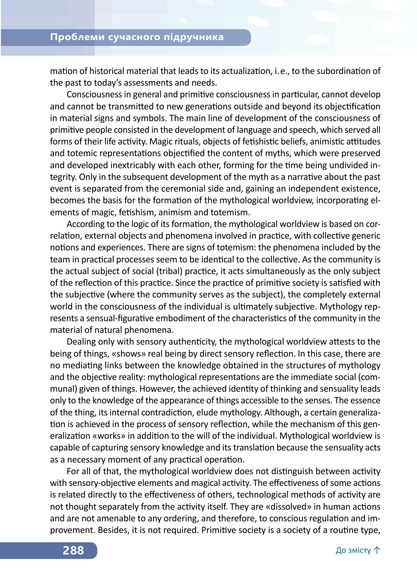mation of historical material that leads to its actualization, i. e., to the subordination of the past to today's assessments and needs.

Consciousness in general and primitive consciousness in particular, cannot develop and cannot be transmitted to new generations outside and beyond its objectification in material signs and symbols. The main line of development of the consciousness of primitive people consisted in the development of language and speech, which served all forms of their life activity. Magic rituals, objects of fetishistic beliefs, animistic attitudes and totemic representations objectified the content of myths, which were preserved and developed inextricably with each other, forming for the time being undivided integrity. Only in the subsequent development of the myth as a narrative about the past event is separated from the ceremonial side and, gaining an independent existence, becomes the basis for the formation of the mythological worldview, incorporating elements of magic, fetishism, animism and totemism.

According to the logic of its formation, the mythological worldview is based on correlation, external objects and phenomena involved in practice, with collective generic notions and experiences. There are signs of totemism: the phenomena included by the team in practical processes seem to be identical to the collective. As the community is the actual subject of social (tribal) practice, it acts simultaneously as the only subject of the reflection of this practice. Since the practice of primitive society is satisfied with the subjective (where the community serves as the subject), the completely external world in the consciousness of the individual is ultimately subjective. Mythology represents a sensual-figurative embodiment of the characteristics of the community in the material of natural phenomena.

Dealing only with sensory authenticity, the mythological worldview attests to the being of things, «shows» real being by direct sensory reflection. In this case, there are no mediating links between the knowledge obtained in the structures of mythology and the objective reality: mythological representations are the immediate social (communal) given of things. However, the achieved identity of thinking and sensuality leads only to the knowledge of the appearance of things accessible to the senses. The essence of the thing, its internal contradiction, elude mythology. Although, a certain generalization is achieved in the process of sensory reflection, while the mechanism of this generalization «works» in addition to the will of the individual. Mythological worldview is capable of capturing sensory knowledge and its translation because the sensuality acts as a necessary moment of any practical operation.

For all of that, the mythological worldview does not distinguish between activity with sensory-objective elements and magical activity. The effectiveness of some actions is related directly to the effectiveness of others, technological methods of activity are not thought separately from the activity itself. They are «dissolved» in human actions and are not amenable to any ordering, and therefore, to conscious regulation and improvement. Besides, it is not required. Primitive society is a society of a routine type,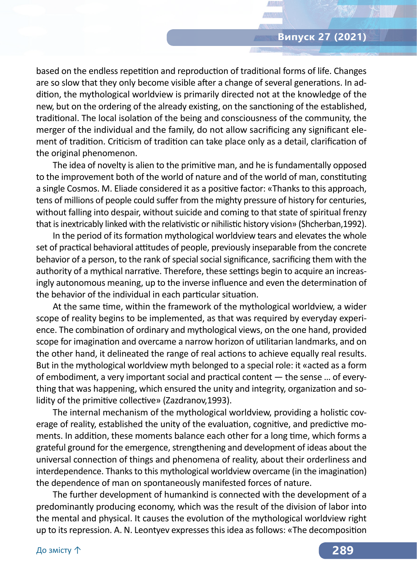### **Випуск 27 (2021)**

based on the endless repetition and reproduction of traditional forms of life. Changes are so slow that they only become visible after a change of several generations. In addition, the mythological worldview is primarily directed not at the knowledge of the new, but on the ordering of the already existing, on the sanctioning of the established, traditional. The local isolation of the being and consciousness of the community, the merger of the individual and the family, do not allow sacrificing any significant element of tradition. Criticism of tradition can take place only as a detail, clarification of the original phenomenon.

The idea of novelty is alien to the primitive man, and he is fundamentally opposed to the improvement both of the world of nature and of the world of man, constituting a single Cosmos. M. Eliade considered it as a positive factor: «Thanks to this approach, tens of millions of people could suffer from the mighty pressure of history for centuries, without falling into despair, without suicide and coming to that state of spiritual frenzy that is inextricably linked with the relativistic or nihilistic history vision» (Shcherban,1992).

In the period of its formation mythological worldview tears and elevates the whole set of practical behavioral attitudes of people, previously inseparable from the concrete behavior of a person, to the rank of special social significance, sacrificing them with the authority of a mythical narrative. Therefore, these settings begin to acquire an increasingly autonomous meaning, up to the inverse influence and even the determination of the behavior of the individual in each particular situation.

At the same time, within the framework of the mythological worldview, a wider scope of reality begins to be implemented, as that was required by everyday experience. The combination of ordinary and mythological views, on the one hand, provided scope for imagination and overcame a narrow horizon of utilitarian landmarks, and on the other hand, it delineated the range of real actions to achieve equally real results. But in the mythological worldview myth belonged to a special role: it «acted as a form of embodiment, a very important social and practical content — the sense … of everything that was happening, which ensured the unity and integrity, organization and solidity of the primitive collective» (Zazdranov,1993).

The internal mechanism of the mythological worldview, providing a holistic coverage of reality, established the unity of the evaluation, cognitive, and predictive moments. In addition, these moments balance each other for a long time, which forms a grateful ground for the emergence, strengthening and development of ideas about the universal connection of things and phenomena of reality, about their orderliness and interdependence. Thanks to this mythological worldview overcame (in the imagination) the dependence of man on spontaneously manifested forces of nature.

The further development of humankind is connected with the development of a predominantly producing economy, which was the result of the division of labor into the mental and physical. It causes the evolution of the mythological worldview right up to its repression. A. N. Leontyev expresses this idea as follows: «The decomposition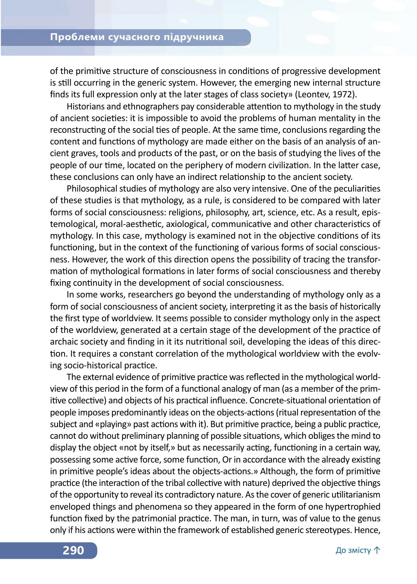of the primitive structure of consciousness in conditions of progressive development is still occurring in the generic system. However, the emerging new internal structure finds its full expression only at the later stages of class society» (Leontev, 1972).

Historians and ethnographers pay considerable attention to mythology in the study of ancient societies: it is impossible to avoid the problems of human mentality in the reconstructing of the social ties of people. At the same time, conclusions regarding the content and functions of mythology are made either on the basis of an analysis of ancient graves, tools and products of the past, or on the basis of studying the lives of the people of our time, located on the periphery of modern civilization. In the latter case, these conclusions can only have an indirect relationship to the ancient society.

Philosophical studies of mythology are also very intensive. One of the peculiarities of these studies is that mythology, as a rule, is considered to be compared with later forms of social consciousness: religions, philosophy, art, science, etc. As a result, epistemological, moral-aesthetic, axiological, communicative and other characteristics of mythology. In this case, mythology is examined not in the objective conditions of its functioning, but in the context of the functioning of various forms of social consciousness. However, the work of this direction opens the possibility of tracing the transformation of mythological formations in later forms of social consciousness and thereby fixing continuity in the development of social consciousness.

In some works, researchers go beyond the understanding of mythology only as a form of social consciousness of ancient society, interpreting it as the basis of historically the first type of worldview. It seems possible to consider mythology only in the aspect of the worldview, generated at a certain stage of the development of the practice of archaic society and finding in it its nutritional soil, developing the ideas of this direction. It requires a constant correlation of the mythological worldview with the evolving socio-historical practice.

The external evidence of primitive practice was reflected in the mythological worldview of this period in the form of a functional analogy of man (as a member of the primitive collective) and objects of his practical influence. Concrete-situational orientation of people imposes predominantly ideas on the objects-actions (ritual representation of the subject and «playing» past actions with it). But primitive practice, being a public practice, cannot do without preliminary planning of possible situations, which obliges the mind to display the object «not by itself,» but as necessarily acting, functioning in a certain way, possessing some active force, some function, Or in accordance with the already existing in primitive people's ideas about the objects-actions.» Although, the form of primitive practice (the interaction of the tribal collective with nature) deprived the objective things of the opportunity to reveal its contradictory nature. As the cover of generic utilitarianism enveloped things and phenomena so they appeared in the form of one hypertrophied function fixed by the patrimonial practice. The man, in turn, was of value to the genus only if his actions were within the framework of established generic stereotypes. Hence,

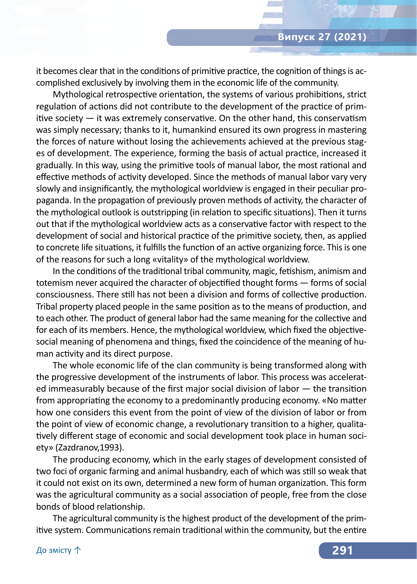it becomes clear that in the conditions of primitive practice, the cognition of things is accomplished exclusively by involving them in the economic life of the community.

Mythological retrospective orientation, the systems of various prohibitions, strict regulation of actions did not contribute to the development of the practice of primitive society — it was extremely conservative. On the other hand, this conservatism was simply necessary; thanks to it, humankind ensured its own progress in mastering the forces of nature without losing the achievements achieved at the previous stages of development. The experience, forming the basis of actual practice, increased it gradually. In this way, using the primitive tools of manual labor, the most rational and effective methods of activity developed. Since the methods of manual labor vary very slowly and insignificantly, the mythological worldview is engaged in their peculiar propaganda. In the propagation of previously proven methods of activity, the character of the mythological outlook is outstripping (in relation to specific situations). Then it turns out that if the mythological worldview acts as a conservative factor with respect to the development of social and historical practice of the primitive society, then, as applied to concrete life situations, it fulfills the function of an active organizing force. This is one of the reasons for such a long «vitality» of the mythological worldview.

In the conditions of the traditional tribal community, magic, fetishism, animism and totemism never acquired the character of objectified thought forms — forms of social consciousness. There still has not been a division and forms of collective production. Tribal property placed people in the same position as to the means of production, and to each other. The product of general labor had the same meaning for the collective and for each of its members. Hence, the mythological worldview, which fixed the objectivesocial meaning of phenomena and things, fixed the coincidence of the meaning of human activity and its direct purpose.

The whole economic life of the clan community is being transformed along with the progressive development of the instruments of labor. This process was accelerated immeasurably because of the first major social division of labor — the transition from appropriating the economy to a predominantly producing economy. «No matter how one considers this event from the point of view of the division of labor or from the point of view of economic change, a revolutionary transition to a higher, qualitatively different stage of economic and social development took place in human society» (Zazdranov,1993).

The producing economy, which in the early stages of development consisted of two foci of organic farming and animal husbandry, each of which was still so weak that it could not exist on its own, determined a new form of human organization. This form was the agricultural community as a social association of people, free from the close bonds of blood relationship.

The agricultural community is the highest product of the development of the primitive system. Communications remain traditional within the community, but the entire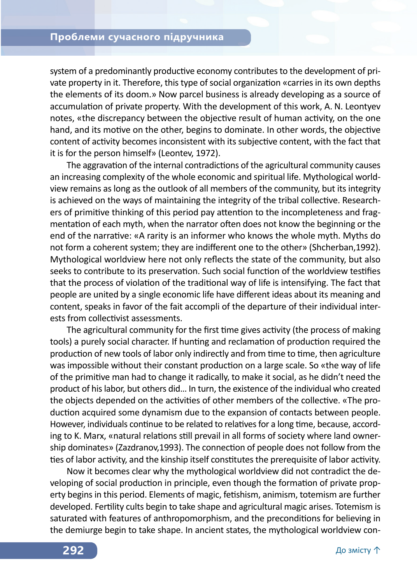system of a predominantly productive economy contributes to the development of private property in it. Therefore, this type of social organization «carries in its own depths the elements of its doom.» Now parcel business is already developing as a source of accumulation of private property. With the development of this work, A. N. Leontyev notes, «the discrepancy between the objective result of human activity, on the one hand, and its motive on the other, begins to dominate. In other words, the objective content of activity becomes inconsistent with its subjective content, with the fact that it is for the person himself» (Leontev, 1972).

The aggravation of the internal contradictions of the agricultural community causes an increasing complexity of the whole economic and spiritual life. Mythological worldview remains as long as the outlook of all members of the community, but its integrity is achieved on the ways of maintaining the integrity of the tribal collective. Researchers of primitive thinking of this period pay attention to the incompleteness and fragmentation of each myth, when the narrator often does not know the beginning or the end of the narrative: «A rarity is an informer who knows the whole myth. Myths do not form a coherent system; they are indifferent one to the other» (Shcherban,1992). Mythological worldview here not only reflects the state of the community, but also seeks to contribute to its preservation. Such social function of the worldview testifies that the process of violation of the traditional way of life is intensifying. The fact that people are united by a single economic life have different ideas about its meaning and content, speaks in favor of the fait accompli of the departure of their individual interests from collectivist assessments.

The agricultural community for the first time gives activity (the process of making tools) a purely social character. If hunting and reclamation of production required the production of new tools of labor only indirectly and from time to time, then agriculture was impossible without their constant production on a large scale. So «the way of life of the primitive man had to change it radically, to make it social, as he didn't need the product of his labor, but others did… In turn, the existence of the individual who created the objects depended on the activities of other members of the collective. «The production acquired some dynamism due to the expansion of contacts between people. However, individuals continue to be related to relatives for a long time, because, according to K. Marx, «natural relations still prevail in all forms of society where land ownership dominates» (Zazdranov,1993). The connection of people does not follow from the ties of labor activity, and the kinship itself constitutes the prerequisite of labor activity.

Now it becomes clear why the mythological worldview did not contradict the developing of social production in principle, even though the formation of private property begins in this period. Elements of magic, fetishism, animism, totemism are further developed. Fertility cults begin to take shape and agricultural magic arises. Totemism is saturated with features of anthropomorphism, and the preconditions for believing in the demiurge begin to take shape. In ancient states, the mythological worldview con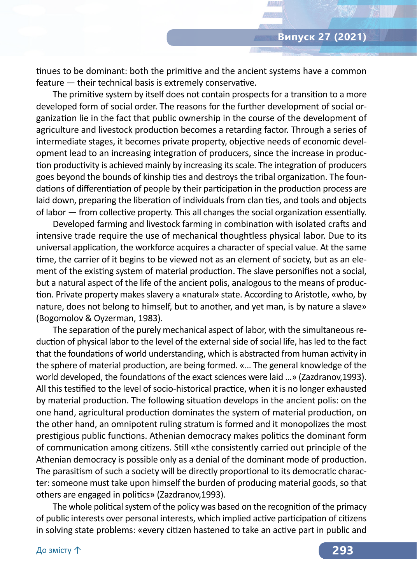tinues to be dominant: both the primitive and the ancient systems have a common feature — their technical basis is extremely conservative.

The primitive system by itself does not contain prospects for a transition to a more developed form of social order. The reasons for the further development of social organization lie in the fact that public ownership in the course of the development of agriculture and livestock production becomes a retarding factor. Through a series of intermediate stages, it becomes private property, objective needs of economic development lead to an increasing integration of producers, since the increase in production productivity is achieved mainly by increasing its scale. The integration of producers goes beyond the bounds of kinship ties and destroys the tribal organization. The foundations of differentiation of people by their participation in the production process are laid down, preparing the liberation of individuals from clan ties, and tools and objects of labor — from collective property. This all changes the social organization essentially.

Developed farming and livestock farming in combination with isolated crafts and intensive trade require the use of mechanical thoughtless physical labor. Due to its universal application, the workforce acquires a character of special value. At the same time, the carrier of it begins to be viewed not as an element of society, but as an element of the existing system of material production. The slave personifies not a social, but a natural aspect of the life of the ancient polis, analogous to the means of production. Private property makes slavery a «natural» state. According to Aristotle, «who, by nature, does not belong to himself, but to another, and yet man, is by nature a slave» (Bogomolov & Oyzerman, 1983).

The separation of the purely mechanical aspect of labor, with the simultaneous reduction of physical labor to the level of the external side of social life, has led to the fact that the foundations of world understanding, which is abstracted from human activity in the sphere of material production, are being formed. «… The general knowledge of the world developed, the foundations of the exact sciences were laid …» (Zazdranov,1993). All this testified to the level of socio-historical practice, when it is no longer exhausted by material production. The following situation develops in the ancient polis: on the one hand, agricultural production dominates the system of material production, on the other hand, an omnipotent ruling stratum is formed and it monopolizes the most prestigious public functions. Athenian democracy makes politics the dominant form of communication among citizens. Still «the consistently carried out principle of the Athenian democracy is possible only as a denial of the dominant mode of production. The parasitism of such a society will be directly proportional to its democratic character: someone must take upon himself the burden of producing material goods, so that others are engaged in politics» (Zazdranov,1993).

The whole political system of the policy was based on the recognition of the primacy of public interests over personal interests, which implied active participation of citizens in solving state problems: «every citizen hastened to take an active part in public and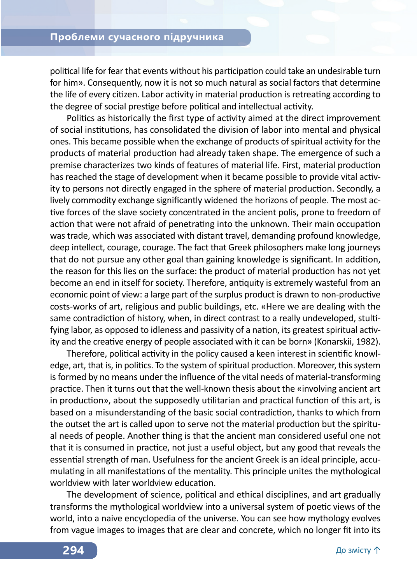political life for fear that events without his participation could take an undesirable turn for him». Consequently, now it is not so much natural as social factors that determine the life of every citizen. Labor activity in material production is retreating according to the degree of social prestige before political and intellectual activity.

Politics as historically the first type of activity aimed at the direct improvement of social institutions, has consolidated the division of labor into mental and physical ones. This became possible when the exchange of products of spiritual activity for the products of material production had already taken shape. The emergence of such a premise characterizes two kinds of features of material life. First, material production has reached the stage of development when it became possible to provide vital activity to persons not directly engaged in the sphere of material production. Secondly, a lively commodity exchange significantly widened the horizons of people. The most active forces of the slave society concentrated in the ancient polis, prone to freedom of action that were not afraid of penetrating into the unknown. Their main occupation was trade, which was associated with distant travel, demanding profound knowledge, deep intellect, courage, courage. The fact that Greek philosophers make long journeys that do not pursue any other goal than gaining knowledge is significant. In addition, the reason for this lies on the surface: the product of material production has not yet become an end in itself for society. Therefore, antiquity is extremely wasteful from an economic point of view: a large part of the surplus product is drawn to non-productive costs-works of art, religious and public buildings, etc. «Here we are dealing with the same contradiction of history, when, in direct contrast to a really undeveloped, stultifying labor, as opposed to idleness and passivity of a nation, its greatest spiritual activity and the creative energy of people associated with it can be born» (Konarskii, 1982).

Therefore, political activity in the policy caused a keen interest in scientific knowledge, art, that is, in politics. To the system of spiritual production. Moreover, this system is formed by no means under the influence of the vital needs of material-transforming practice. Then it turns out that the well-known thesis about the «involving ancient art in production», about the supposedly utilitarian and practical function of this art, is based on a misunderstanding of the basic social contradiction, thanks to which from the outset the art is called upon to serve not the material production but the spiritual needs of people. Another thing is that the ancient man considered useful one not that it is consumed in practice, not just a useful object, but any good that reveals the essential strength of man. Usefulness for the ancient Greek is an ideal principle, accumulating in all manifestations of the mentality. This principle unites the mythological worldview with later worldview education.

The development of science, political and ethical disciplines, and art gradually transforms the mythological worldview into a universal system of poetic views of the world, into a naive encyclopedia of the universe. You can see how mythology evolves from vague images to images that are clear and concrete, which no longer fit into its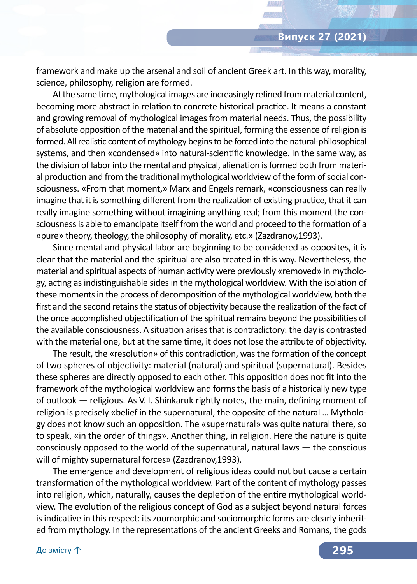framework and make up the arsenal and soil of ancient Greek art. In this way, morality, science, philosophy, religion are formed.

At the same time, mythological images are increasingly refined from material content, becoming more abstract in relation to concrete historical practice. It means a constant and growing removal of mythological images from material needs. Thus, the possibility of absolute opposition of the material and the spiritual, forming the essence of religion is formed. All realistic content of mythology begins to be forced into the natural-philosophical systems, and then «condensed» into natural-scientific knowledge. In the same way, as the division of labor into the mental and physical, alienation is formed both from material production and from the traditional mythological worldview of the form of social consciousness. «From that moment,» Marx and Engels remark, «consciousness can really imagine that it is something different from the realization of existing practice, that it can really imagine something without imagining anything real; from this moment the consciousness is able to emancipate itself from the world and proceed to the formation of a «pure» theory, theology, the philosophy of morality, etc.» (Zazdranov,1993).

Since mental and physical labor are beginning to be considered as opposites, it is clear that the material and the spiritual are also treated in this way. Nevertheless, the material and spiritual aspects of human activity were previously «removed» in mythology, acting as indistinguishable sides in the mythological worldview. With the isolation of these moments in the process of decomposition of the mythological worldview, both the first and the second retains the status of objectivity because the realization of the fact of the once accomplished objectification of the spiritual remains beyond the possibilities of the available consciousness. A situation arises that is contradictory: the day is contrasted with the material one, but at the same time, it does not lose the attribute of objectivity.

The result, the «resolution» of this contradiction, was the formation of the concept of two spheres of objectivity: material (natural) and spiritual (supernatural). Besides these spheres are directly opposed to each other. This opposition does not fit into the framework of the mythological worldview and forms the basis of a historically new type of outlook — religious. As V. I. Shinkaruk rightly notes, the main, defining moment of religion is precisely «belief in the supernatural, the opposite of the natural … Mythology does not know such an opposition. The «supernatural» was quite natural there, so to speak, «in the order of things». Another thing, in religion. Here the nature is quite consciously opposed to the world of the supernatural, natural laws — the conscious will of mighty supernatural forces» (Zazdranov,1993).

The emergence and development of religious ideas could not but cause a certain transformation of the mythological worldview. Part of the content of mythology passes into religion, which, naturally, causes the depletion of the entire mythological worldview. The evolution of the religious concept of God as a subject beyond natural forces is indicative in this respect: its zoomorphic and sociomorphic forms are clearly inherited from mythology. In the representations of the ancient Greeks and Romans, the gods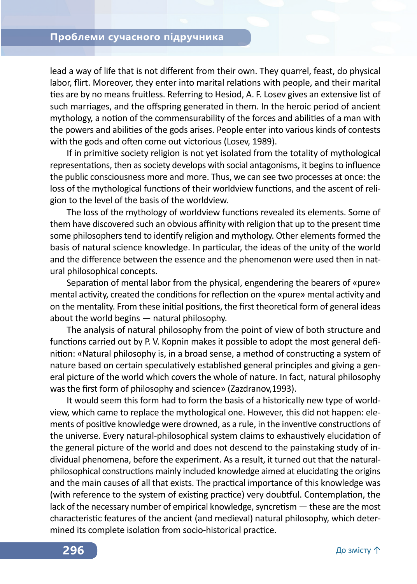lead a way of life that is not different from their own. They quarrel, feast, do physical labor, flirt. Moreover, they enter into marital relations with people, and their marital ties are by no means fruitless. Referring to Hesiod, A. F. Losev gives an extensive list of such marriages, and the offspring generated in them. In the heroic period of ancient mythology, a notion of the commensurability of the forces and abilities of a man with the powers and abilities of the gods arises. People enter into various kinds of contests with the gods and often come out victorious (Losev, 1989).

If in primitive society religion is not yet isolated from the totality of mythological representations, then as society develops with social antagonisms, it begins to influence the public consciousness more and more. Thus, we can see two processes at once: the loss of the mythological functions of their worldview functions, and the ascent of religion to the level of the basis of the worldview.

The loss of the mythology of worldview functions revealed its elements. Some of them have discovered such an obvious affinity with religion that up to the present time some philosophers tend to identify religion and mythology. Other elements formed the basis of natural science knowledge. In particular, the ideas of the unity of the world and the difference between the essence and the phenomenon were used then in natural philosophical concepts.

Separation of mental labor from the physical, engendering the bearers of «pure» mental activity, created the conditions for reflection on the «pure» mental activity and on the mentality. From these initial positions, the first theoretical form of general ideas about the world begins — natural philosophy.

The analysis of natural philosophy from the point of view of both structure and functions carried out by P. V. Kopnin makes it possible to adopt the most general definition: «Natural philosophy is, in a broad sense, a method of constructing a system of nature based on certain speculatively established general principles and giving a general picture of the world which covers the whole of nature. In fact, natural philosophy was the first form of philosophy and science» (Zazdranov,1993).

It would seem this form had to form the basis of a historically new type of worldview, which came to replace the mythological one. However, this did not happen: elements of positive knowledge were drowned, as a rule, in the inventive constructions of the universe. Every natural-philosophical system claims to exhaustively elucidation of the general picture of the world and does not descend to the painstaking study of individual phenomena, before the experiment. As a result, it turned out that the naturalphilosophical constructions mainly included knowledge aimed at elucidating the origins and the main causes of all that exists. The practical importance of this knowledge was (with reference to the system of existing practice) very doubtful. Contemplation, the lack of the necessary number of empirical knowledge, syncretism — these are the most characteristic features of the ancient (and medieval) natural philosophy, which determined its complete isolation from socio-historical practice.

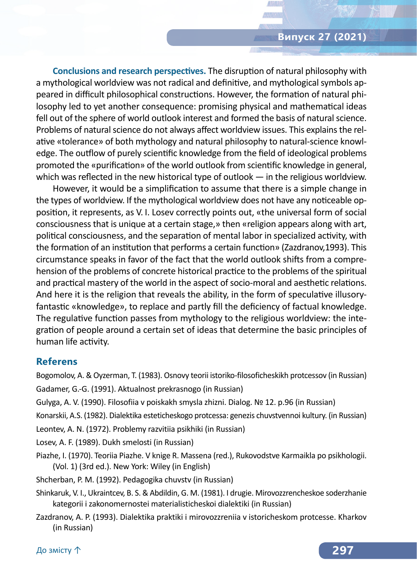**Conclusions and research perspectives.** The disruption of natural philosophy with a mythological worldview was not radical and definitive, and mythological symbols appeared in difficult philosophical constructions. However, the formation of natural philosophy led to yet another consequence: promising physical and mathematical ideas fell out of the sphere of world outlook interest and formed the basis of natural science. Problems of natural science do not always affect worldview issues. This explains the relative «tolerance» of both mythology and natural philosophy to natural-science knowledge. The outflow of purely scientific knowledge from the field of ideological problems promoted the «purification» of the world outlook from scientific knowledge in general, which was reflected in the new historical type of outlook — in the religious worldview.

However, it would be a simplification to assume that there is a simple change in the types of worldview. If the mythological worldview does not have any noticeable opposition, it represents, as V. I. Losev correctly points out, «the universal form of social consciousness that is unique at a certain stage,» then «religion appears along with art, political consciousness, and the separation of mental labor in specialized activity, with the formation of an institution that performs a certain function» (Zazdranov,1993). This circumstance speaks in favor of the fact that the world outlook shifts from a comprehension of the problems of concrete historical practice to the problems of the spiritual and practical mastery of the world in the aspect of socio-moral and aesthetic relations. And here it is the religion that reveals the ability, in the form of speculative illusoryfantastic «knowledge», to replace and partly fill the deficiency of factual knowledge. The regulative function passes from mythology to the religious worldview: the integration of people around a certain set of ideas that determine the basic principles of human life activity.

#### **Referens**

Bogomolov, A. & Oyzerman, T. (1983). Osnovy teorii istoriko-filosoficheskikh protcessov (in Russian) Gadamer, G.-G. (1991). Aktualnost prekrasnogo (in Russian)

Gulyga, A. V. (1990). Filosofiia v poiskakh smysla zhizni. Dialog. № 12. p.96 (in Russian)

Konarskii, A.S. (1982). Dialektika esteticheskogo protcessa: genezis chuvstvennoi kultury. (in Russian)

Leontev, A. N. (1972). Problemy razvitiia psikhiki (in Russian)

Losev, A. F. (1989). Dukh smelosti (in Russian)

Piazhe, I. (1970). Teoriia Piazhe. V knige R. Massena (red.), Rukovodstve Karmaikla po psikhologii. (Vol. 1) (3rd ed.). New York: Wiley (in English)

Shcherban, P. M. (1992). Pedagogika chuvstv (in Russian)

Shinkaruk, V. I., Ukraintcev, B. S. & Abdildin, G. M. (1981). I drugie. Mirovozzrencheskoe soderzhanie kategorii i zakonomernostei materialisticheskoi dialektiki (in Russian)

Zazdranov, A. P. (1993). Dialektika praktiki i mirovozzreniia v istoricheskom protcesse. Kharkov (in Russian)